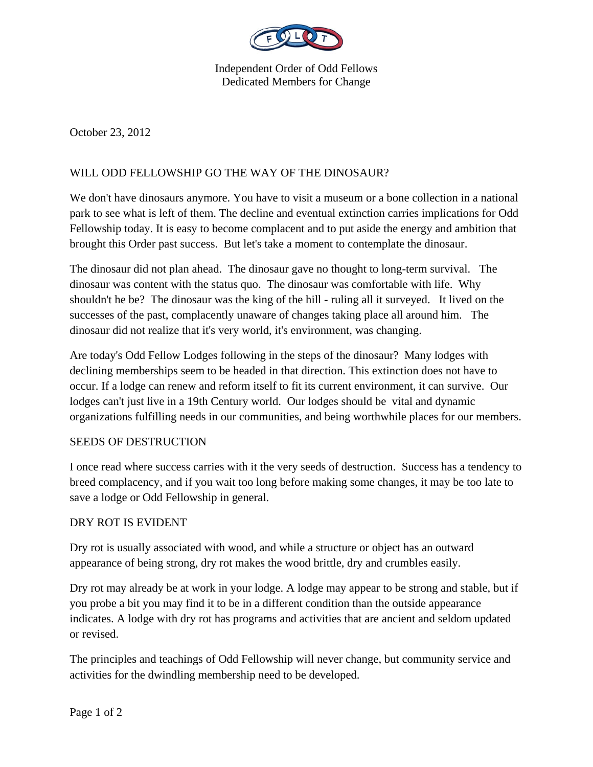

Independent Order of Odd Fellows Dedicated Members for Change

October 23, 2012

# WILL ODD FELLOWSHIP GO THE WAY OF THE DINOSAUR?

We don't have dinosaurs anymore. You have to visit a museum or a bone collection in a national park to see what is left of them. The decline and eventual extinction carries implications for Odd Fellowship today. It is easy to become complacent and to put aside the energy and ambition that brought this Order past success. But let's take a moment to contemplate the dinosaur.

The dinosaur did not plan ahead. The dinosaur gave no thought to long-term survival. The dinosaur was content with the status quo. The dinosaur was comfortable with life. Why shouldn't he be? The dinosaur was the king of the hill - ruling all it surveyed. It lived on the successes of the past, complacently unaware of changes taking place all around him. The dinosaur did not realize that it's very world, it's environment, was changing.

Are today's Odd Fellow Lodges following in the steps of the dinosaur? Many lodges with declining memberships seem to be headed in that direction. This extinction does not have to occur. If a lodge can renew and reform itself to fit its current environment, it can survive. Our lodges can't just live in a 19th Century world. Our lodges should be vital and dynamic organizations fulfilling needs in our communities, and being worthwhile places for our members.

## SEEDS OF DESTRUCTION

I once read where success carries with it the very seeds of destruction. Success has a tendency to breed complacency, and if you wait too long before making some changes, it may be too late to save a lodge or Odd Fellowship in general.

#### DRY ROT IS EVIDENT

Dry rot is usually associated with wood, and while a structure or object has an outward appearance of being strong, dry rot makes the wood brittle, dry and crumbles easily.

Dry rot may already be at work in your lodge. A lodge may appear to be strong and stable, but if you probe a bit you may find it to be in a different condition than the outside appearance indicates. A lodge with dry rot has programs and activities that are ancient and seldom updated or revised.

The principles and teachings of Odd Fellowship will never change, but community service and activities for the dwindling membership need to be developed.